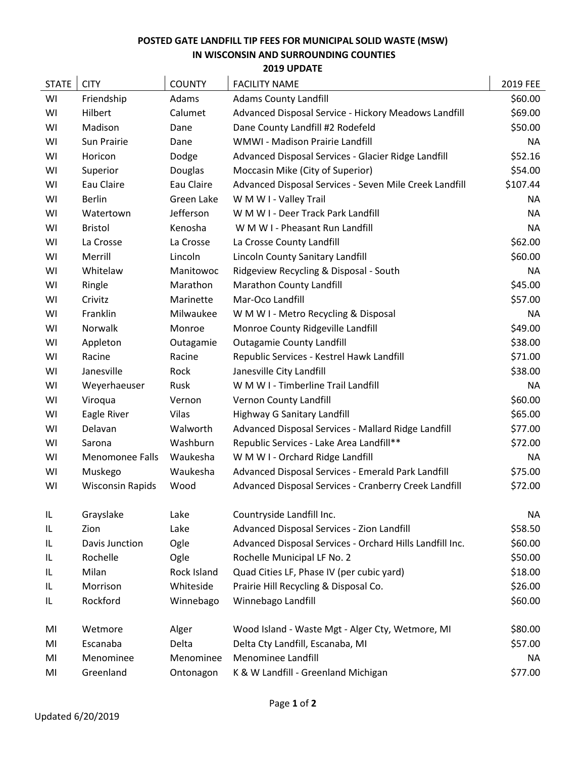## **POSTED GATE LANDFILL TIP FEES FOR MUNICIPAL SOLID WASTE (MSW) IN WISCONSIN AND SURROUNDING COUNTIES**

| 2019 UPDATE |  |
|-------------|--|
|-------------|--|

| <b>STATE</b> | <b>CITY</b>             | <b>COUNTY</b> | <b>FACILITY NAME</b>                                     | 2019 FEE  |
|--------------|-------------------------|---------------|----------------------------------------------------------|-----------|
| WI           | Friendship              | Adams         | <b>Adams County Landfill</b>                             | \$60.00   |
| WI           | Hilbert                 | Calumet       | Advanced Disposal Service - Hickory Meadows Landfill     | \$69.00   |
| WI           | Madison                 | Dane          | Dane County Landfill #2 Rodefeld                         | \$50.00   |
| WI           | Sun Prairie             | Dane          | WMWI - Madison Prairie Landfill                          | <b>NA</b> |
| WI           | Horicon                 | Dodge         | Advanced Disposal Services - Glacier Ridge Landfill      | \$52.16   |
| WI           | Superior                | Douglas       | Moccasin Mike (City of Superior)                         | \$54.00   |
| WI           | Eau Claire              | Eau Claire    | Advanced Disposal Services - Seven Mile Creek Landfill   | \$107.44  |
| WI           | <b>Berlin</b>           | Green Lake    | W M W I - Valley Trail                                   | NA.       |
| WI           | Watertown               | Jefferson     | W M W I - Deer Track Park Landfill                       | ΝA        |
| WI           | <b>Bristol</b>          | Kenosha       | W M W I - Pheasant Run Landfill                          | <b>NA</b> |
| WI           | La Crosse               | La Crosse     | La Crosse County Landfill                                | \$62.00   |
| WI           | Merrill                 | Lincoln       | Lincoln County Sanitary Landfill                         | \$60.00   |
| WI           | Whitelaw                | Manitowoc     | Ridgeview Recycling & Disposal - South                   | <b>NA</b> |
| WI           | Ringle                  | Marathon      | Marathon County Landfill                                 | \$45.00   |
| WI           | Crivitz                 | Marinette     | Mar-Oco Landfill                                         | \$57.00   |
| WI           | Franklin                | Milwaukee     | W M W I - Metro Recycling & Disposal                     | <b>NA</b> |
| WI           | Norwalk                 | Monroe        | Monroe County Ridgeville Landfill                        | \$49.00   |
| WI           | Appleton                | Outagamie     | <b>Outagamie County Landfill</b>                         | \$38.00   |
| WI           | Racine                  | Racine        | Republic Services - Kestrel Hawk Landfill                | \$71.00   |
| WI           | Janesville              | Rock          | Janesville City Landfill                                 | \$38.00   |
| WI           | Weyerhaeuser            | Rusk          | W M W I - Timberline Trail Landfill                      | <b>NA</b> |
| WI           | Viroqua                 | Vernon        | Vernon County Landfill                                   | \$60.00   |
| WI           | Eagle River             | Vilas         | Highway G Sanitary Landfill                              | \$65.00   |
| WI           | Delavan                 | Walworth      | Advanced Disposal Services - Mallard Ridge Landfill      | \$77.00   |
| WI           | Sarona                  | Washburn      | Republic Services - Lake Area Landfill**                 | \$72.00   |
| WI           | <b>Menomonee Falls</b>  | Waukesha      | W M W I - Orchard Ridge Landfill                         | <b>NA</b> |
| WI           | Muskego                 | Waukesha      | Advanced Disposal Services - Emerald Park Landfill       | \$75.00   |
| WI           | <b>Wisconsin Rapids</b> | Wood          | Advanced Disposal Services - Cranberry Creek Landfill    | \$72.00   |
| IL           | Grayslake               | Lake          | Countryside Landfill Inc.                                | NA        |
| IL           | Zion                    | Lake          | Advanced Disposal Services - Zion Landfill               | \$58.50   |
| IL.          | Davis Junction          | Ogle          | Advanced Disposal Services - Orchard Hills Landfill Inc. | \$60.00   |
| IL.          | Rochelle                | Ogle          | Rochelle Municipal LF No. 2                              | \$50.00   |
| IL.          | Milan                   | Rock Island   | Quad Cities LF, Phase IV (per cubic yard)                | \$18.00   |
| IL.          | Morrison                | Whiteside     | Prairie Hill Recycling & Disposal Co.                    | \$26.00   |
| IL.          | Rockford                | Winnebago     | Winnebago Landfill                                       | \$60.00   |
| MI           | Wetmore                 | Alger         | Wood Island - Waste Mgt - Alger Cty, Wetmore, MI         | \$80.00   |
| MI           | Escanaba                | Delta         | Delta Cty Landfill, Escanaba, MI                         | \$57.00   |
| MI           | Menominee               | Menominee     | Menominee Landfill                                       | ΝA        |
| MI           | Greenland               | Ontonagon     | K & W Landfill - Greenland Michigan                      | \$77.00   |